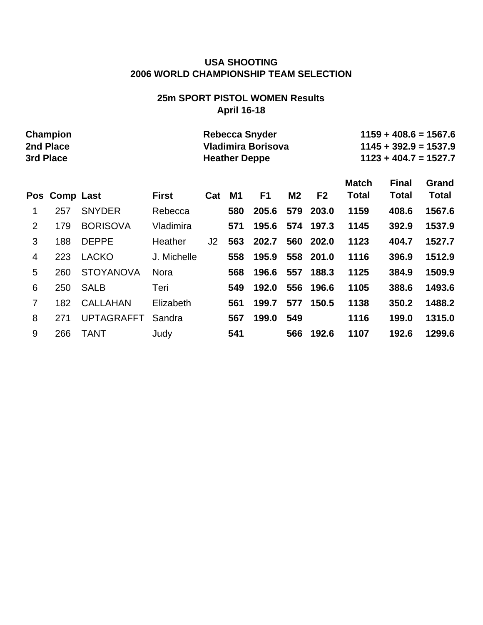# **25m SPORT PISTOL WOMEN Results April 16-18**

|     | Champion<br>2nd Place<br>3rd Place |                   |              |     | <b>Heather Deppe</b> | <b>Rebecca Snyder</b><br>Vladimira Borisova |                |                |                       | $1159 + 408.6 = 1567.6$<br>$1145 + 392.9 = 1537.9$<br>$1123 + 404.7 = 1527.7$ |                       |
|-----|------------------------------------|-------------------|--------------|-----|----------------------|---------------------------------------------|----------------|----------------|-----------------------|-------------------------------------------------------------------------------|-----------------------|
| Pos | <b>Comp Last</b>                   |                   | <b>First</b> | Cat | M1                   | F <sub>1</sub>                              | M <sub>2</sub> | F <sub>2</sub> | <b>Match</b><br>Total | <b>Final</b><br><b>Total</b>                                                  | Grand<br><b>Total</b> |
| 1   | 257                                | <b>SNYDER</b>     | Rebecca      |     | 580                  | 205.6                                       | 579            | 203.0          | 1159                  | 408.6                                                                         | 1567.6                |
| 2   | 179                                | <b>BORISOVA</b>   | Vladimira    |     | 571                  | 195.6                                       |                | 574 197.3      | 1145                  | 392.9                                                                         | 1537.9                |
| 3   | 188                                | <b>DEPPE</b>      | Heather      | J2  | 563                  | 202.7                                       |                | 560 202.0      | 1123                  | 404.7                                                                         | 1527.7                |
| 4   | 223                                | <b>LACKO</b>      | J. Michelle  |     | 558                  | 195.9                                       |                | 558 201.0      | 1116                  | 396.9                                                                         | 1512.9                |
| 5   | 260                                | <b>STOYANOVA</b>  | <b>Nora</b>  |     | 568                  | 196.6                                       | 557            | 188.3          | 1125                  | 384.9                                                                         | 1509.9                |
| 6   | 250                                | <b>SALB</b>       | Teri         |     | 549                  | 192.0                                       | 556            | 196.6          | 1105                  | 388.6                                                                         | 1493.6                |
| 7   | 182                                | <b>CALLAHAN</b>   | Elizabeth    |     | 561                  | 199.7                                       | 577            | 150.5          | 1138                  | 350.2                                                                         | 1488.2                |
| 8   | 271                                | <b>UPTAGRAFFT</b> | Sandra       |     | 567                  | 199.0                                       | 549            |                | 1116                  | 199.0                                                                         | 1315.0                |
| 9   | 266                                | TANT              | Judy         |     | 541                  |                                             | 566            | 192.6          | 1107                  | 192.6                                                                         | 1299.6                |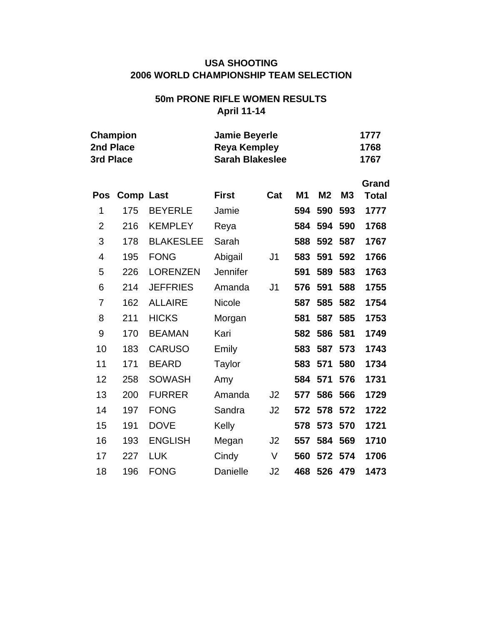# **50m PRONE RIFLE WOMEN RESULTS April 11-14**

| 2nd Place<br>3rd Place | <b>Champion</b>  |                  | <b>Jamie Beyerle</b><br><b>Reya Kempley</b><br><b>Sarah Blakeslee</b> |                |                |                |           | 1777<br>1768<br>1767  |
|------------------------|------------------|------------------|-----------------------------------------------------------------------|----------------|----------------|----------------|-----------|-----------------------|
| <b>Pos</b>             | <b>Comp Last</b> |                  | <b>First</b>                                                          | Cat            | M <sub>1</sub> | M <sub>2</sub> | <b>M3</b> | Grand<br><b>Total</b> |
| 1                      | 175              | <b>BEYERLE</b>   | Jamie                                                                 |                | 594            | 590            | 593       | 1777                  |
| $\overline{2}$         | 216              | <b>KEMPLEY</b>   | Reya                                                                  |                | 584            | 594            | 590       | 1768                  |
| 3                      | 178              | <b>BLAKESLEE</b> | Sarah                                                                 |                | 588            | 592            | 587       | 1767                  |
| 4                      | 195              | <b>FONG</b>      | Abigail                                                               | J <sub>1</sub> | 583            | 591            | 592       | 1766                  |
| 5                      | 226              | <b>LORENZEN</b>  | Jennifer                                                              |                | 591            | 589            | 583       | 1763                  |
| 6                      | 214              | <b>JEFFRIES</b>  | Amanda                                                                | J <sub>1</sub> | 576            | 591            | 588       | 1755                  |
| 7                      | 162              | <b>ALLAIRE</b>   | Nicole                                                                |                | 587            | 585            | 582       | 1754                  |
| 8                      | 211              | <b>HICKS</b>     | Morgan                                                                |                | 581            | 587            | 585       | 1753                  |
| 9                      | 170              | <b>BEAMAN</b>    | Kari                                                                  |                | 582            | 586            | 581       | 1749                  |
| 10                     | 183              | <b>CARUSO</b>    | Emily                                                                 |                | 583            | 587            | 573       | 1743                  |
| 11                     | 171              | <b>BEARD</b>     | Taylor                                                                |                | 583            | 571            | 580       | 1734                  |
| 12                     | 258              | <b>SOWASH</b>    | Amy                                                                   |                | 584            | 571            | 576       | 1731                  |
| 13                     | 200              | <b>FURRER</b>    | Amanda                                                                | J2             | 577            | 586            | 566       | 1729                  |
| 14                     | 197              | <b>FONG</b>      | Sandra                                                                | J <sub>2</sub> | 572            | 578            | 572       | 1722                  |
| 15                     | 191              | <b>DOVE</b>      | Kelly                                                                 |                | 578            | 573            | 570       | 1721                  |
| 16                     | 193              | <b>ENGLISH</b>   | Megan                                                                 | J <sub>2</sub> | 557            | 584            | 569       | 1710                  |
| 17                     | 227              | <b>LUK</b>       | Cindy                                                                 | V              | 560            | 572            | 574       | 1706                  |
| 18                     | 196              | <b>FONG</b>      | Danielle                                                              | J2             | 468            | 526            | 479       | 1473                  |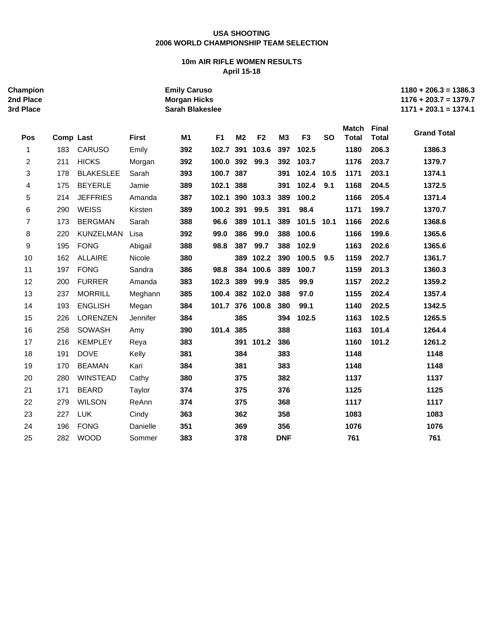#### **10m AIR RIFLE WOMEN RESULTS April 15-18**

| <b>Champion</b><br>2nd Place<br>3rd Place |           |                  |              | <b>Emily Caruso</b><br><b>Morgan Hicks</b><br><b>Sarah Blakeslee</b> |                |                |                 |                |                |           |                       |                       | $1180 + 206.3 = 1386.3$<br>$1176 + 203.7 = 1379.7$<br>$1171 + 203.1 = 1374.1$ |
|-------------------------------------------|-----------|------------------|--------------|----------------------------------------------------------------------|----------------|----------------|-----------------|----------------|----------------|-----------|-----------------------|-----------------------|-------------------------------------------------------------------------------|
| Pos                                       | Comp Last |                  | <b>First</b> | M1                                                                   | F <sub>1</sub> | M <sub>2</sub> | F <sub>2</sub>  | M <sub>3</sub> | F <sub>3</sub> | <b>SO</b> | Match<br><b>Total</b> | Final<br><b>Total</b> | <b>Grand Total</b>                                                            |
| 1                                         | 183       | <b>CARUSO</b>    | Emily        | 392                                                                  | 102.7          |                | 391 103.6       | 397            | 102.5          |           | 1180                  | 206.3                 | 1386.3                                                                        |
| 2                                         | 211       | <b>HICKS</b>     | Morgan       | 392                                                                  | 100.0 392 99.3 |                |                 | 392            | 103.7          |           | 1176                  | 203.7                 | 1379.7                                                                        |
| 3                                         | 178       | <b>BLAKESLEE</b> | Sarah        | 393                                                                  | 100.7 387      |                |                 | 391            | 102.4 10.5     |           | 1171                  | 203.1                 | 1374.1                                                                        |
| 4                                         | 175       | <b>BEYERLE</b>   | Jamie        | 389                                                                  | 102.1 388      |                |                 | 391            | 102.4          | 9.1       | 1168                  | 204.5                 | 1372.5                                                                        |
| 5                                         | 214       | <b>JEFFRIES</b>  | Amanda       | 387                                                                  | 102.1          |                | 390 103.3       | 389            | 100.2          |           | 1166                  | 205.4                 | 1371.4                                                                        |
| 6                                         | 290       | <b>WEISS</b>     | Kirsten      | 389                                                                  | 100.2 391 99.5 |                |                 | 391            | 98.4           |           | 1171                  | 199.7                 | 1370.7                                                                        |
| $\overline{7}$                            | 173       | <b>BERGMAN</b>   | Sarah        | 388                                                                  | 96.6           |                | 389 101.1       | 389            | 101.5 10.1     |           | 1166                  | 202.6                 | 1368.6                                                                        |
| 8                                         | 220       | KUNZELMAN        | Lisa         | 392                                                                  | 99.0           | 386            | 99.0            | 388            | 100.6          |           | 1166                  | 199.6                 | 1365.6                                                                        |
| $\boldsymbol{9}$                          | 195       | <b>FONG</b>      | Abigail      | 388                                                                  | 98.8           | 387            | 99.7            | 388            | 102.9          |           | 1163                  | 202.6                 | 1365.6                                                                        |
| 10                                        | 162       | <b>ALLAIRE</b>   | Nicole       | 380                                                                  |                |                | 389 102.2       | 390            | 100.5          | 9.5       | 1159                  | 202.7                 | 1361.7                                                                        |
| 11                                        | 197       | <b>FONG</b>      | Sandra       | 386                                                                  | 98.8           |                | 384 100.6       | 389            | 100.7          |           | 1159                  | 201.3                 | 1360.3                                                                        |
| 12                                        | 200       | <b>FURRER</b>    | Amanda       | 383                                                                  | 102.3 389      |                | 99.9            | 385            | 99.9           |           | 1157                  | 202.2                 | 1359.2                                                                        |
| 13                                        | 237       | <b>MORRILL</b>   | Meghann      | 385                                                                  |                |                | 100.4 382 102.0 | 388            | 97.0           |           | 1155                  | 202.4                 | 1357.4                                                                        |
| 14                                        | 193       | <b>ENGLISH</b>   | Megan        | 384                                                                  |                |                | 101.7 376 100.8 | 380            | 99.1           |           | 1140                  | 202.5                 | 1342.5                                                                        |
| 15                                        | 226       | <b>LORENZEN</b>  | Jennifer     | 384                                                                  |                | 385            |                 | 394            | 102.5          |           | 1163                  | 102.5                 | 1265.5                                                                        |
| 16                                        | 258       | SOWASH           | Amy          | 390                                                                  | 101.4 385      |                |                 | 388            |                |           | 1163                  | 101.4                 | 1264.4                                                                        |
| 17                                        | 216       | <b>KEMPLEY</b>   | Reya         | 383                                                                  |                |                | 391 101.2       | 386            |                |           | 1160                  | 101.2                 | 1261.2                                                                        |
| 18                                        | 191       | <b>DOVE</b>      | Kelly        | 381                                                                  |                | 384            |                 | 383            |                |           | 1148                  |                       | 1148                                                                          |
| 19                                        | 170       | <b>BEAMAN</b>    | Kari         | 384                                                                  |                | 381            |                 | 383            |                |           | 1148                  |                       | 1148                                                                          |
| 20                                        | 280       | <b>WINSTEAD</b>  | Cathy        | 380                                                                  |                | 375            |                 | 382            |                |           | 1137                  |                       | 1137                                                                          |
| 21                                        | 171       | <b>BEARD</b>     | Taylor       | 374                                                                  |                | 375            |                 | 376            |                |           | 1125                  |                       | 1125                                                                          |
| 22                                        | 279       | <b>WILSON</b>    | ReAnn        | 374                                                                  |                | 375            |                 | 368            |                |           | 1117                  |                       | 1117                                                                          |
| 23                                        | 227       | <b>LUK</b>       | Cindy        | 363                                                                  |                | 362            |                 | 358            |                |           | 1083                  |                       | 1083                                                                          |
| 24                                        | 196       | <b>FONG</b>      | Danielle     | 351                                                                  |                | 369            |                 | 356            |                |           | 1076                  |                       | 1076                                                                          |
| 25                                        | 282       | <b>WOOD</b>      | Sommer       | 383                                                                  |                | 378            |                 | <b>DNF</b>     |                |           | 761                   |                       | 761                                                                           |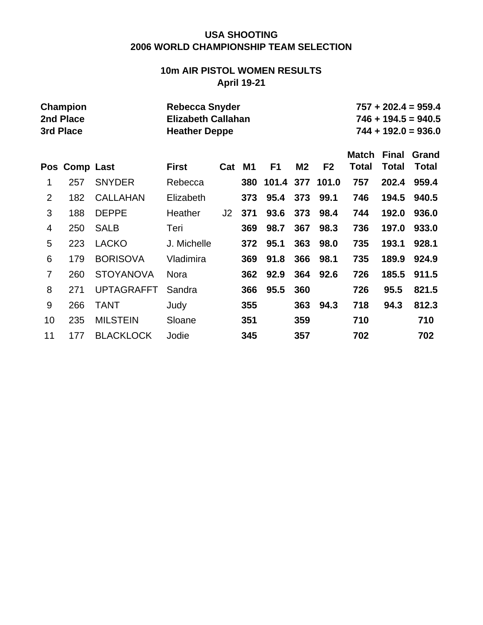# **10m AIR PISTOL WOMEN RESULTS April 19-21**

|                | <b>Champion</b><br>2nd Place<br>3rd Place |                   | <b>Rebecca Snyder</b><br><b>Elizabeth Callahan</b><br><b>Heather Deppe</b> |     |           |                |                |                |              |              | $757 + 202.4 = 959.4$<br>$746 + 194.5 = 940.5$<br>$744 + 192.0 = 936.0$ |
|----------------|-------------------------------------------|-------------------|----------------------------------------------------------------------------|-----|-----------|----------------|----------------|----------------|--------------|--------------|-------------------------------------------------------------------------|
|                |                                           |                   |                                                                            |     |           |                |                |                | <b>Match</b> | <b>Final</b> | Grand                                                                   |
| Pos            | <b>Comp Last</b>                          |                   | <b>First</b>                                                               | Cat | <b>M1</b> | F <sub>1</sub> | M <sub>2</sub> | F <sub>2</sub> | Total        | Total        | <b>Total</b>                                                            |
| 1              | 257                                       | <b>SNYDER</b>     | Rebecca                                                                    |     | 380       | 101.4          | 377            | 101.0          | 757          | 202.4        | 959.4                                                                   |
| $\overline{2}$ | 182                                       | <b>CALLAHAN</b>   | Elizabeth                                                                  |     | 373       | 95.4           | 373            | 99.1           | 746          | 194.5        | 940.5                                                                   |
| 3              | 188                                       | <b>DEPPE</b>      | Heather                                                                    | J2  | 371       | 93.6           | 373            | 98.4           | 744          | 192.0        | 936.0                                                                   |
| 4              | 250                                       | <b>SALB</b>       | Teri                                                                       |     | 369       | 98.7           | 367            | 98.3           | 736          | 197.0        | 933.0                                                                   |
| 5              | 223                                       | <b>LACKO</b>      | J. Michelle                                                                |     | 372       | 95.1           | 363            | 98.0           | 735          | 193.1        | 928.1                                                                   |
| 6              | 179                                       | <b>BORISOVA</b>   | Vladimira                                                                  |     | 369       | 91.8           | 366            | 98.1           | 735          | 189.9        | 924.9                                                                   |
| $\overline{7}$ | 260                                       | <b>STOYANOVA</b>  | <b>Nora</b>                                                                |     | 362       | 92.9           | 364            | 92.6           | 726          | 185.5        | 911.5                                                                   |
| 8              | 271                                       | <b>UPTAGRAFFT</b> | Sandra                                                                     |     | 366       | 95.5           | 360            |                | 726          | 95.5         | 821.5                                                                   |
| 9              | 266                                       | <b>TANT</b>       | Judy                                                                       |     | 355       |                | 363            | 94.3           | 718          | 94.3         | 812.3                                                                   |
| 10             | 235                                       | <b>MILSTEIN</b>   | Sloane                                                                     |     | 351       |                | 359            |                | 710          |              | 710                                                                     |
| 11             | 177                                       | <b>BLACKLOCK</b>  | Jodie                                                                      |     | 345       |                | 357            |                | 702          |              | 702                                                                     |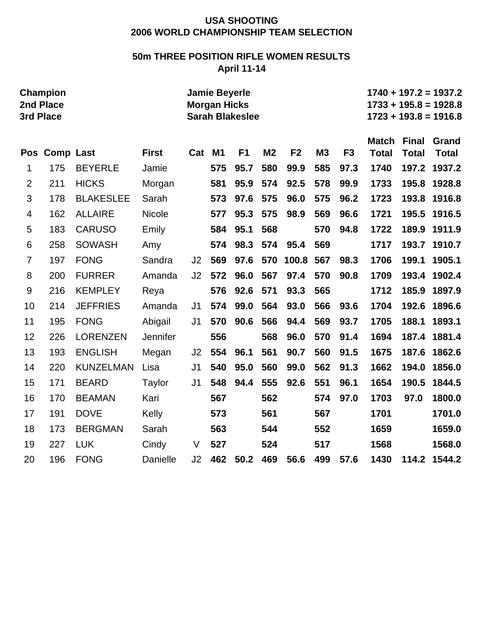# **50m THREE POSITION RIFLE WOMEN RESULTS April 11-14**

|                | <b>Champion</b><br>2nd Place<br>3rd Place<br>Pos Comp Last |                  |                 |                | <b>Jamie Beyerle</b><br><b>Morgan Hicks</b> | <b>Sarah Blakeslee</b> |                |                |     |                |                              |                              | $1740 + 197.2 = 1937.2$<br>$1733 + 195.8 = 1928.8$<br>$1723 + 193.8 = 1916.8$ |
|----------------|------------------------------------------------------------|------------------|-----------------|----------------|---------------------------------------------|------------------------|----------------|----------------|-----|----------------|------------------------------|------------------------------|-------------------------------------------------------------------------------|
|                |                                                            |                  | <b>First</b>    | Cat            | <b>M1</b>                                   | F <sub>1</sub>         | M <sub>2</sub> | F <sub>2</sub> | M3  | F <sub>3</sub> | <b>Match</b><br><b>Total</b> | <b>Final</b><br><b>Total</b> | Grand<br><b>Total</b>                                                         |
| 1              | 175                                                        | <b>BEYERLE</b>   | Jamie           |                | 575                                         | 95.7                   | 580            | 99.9           | 585 | 97.3           | 1740                         | 197.2                        | 1937.2                                                                        |
|                | 211                                                        |                  |                 |                |                                             |                        | 574            |                | 578 | 99.9           | 1733                         | 195.8                        |                                                                               |
| $\overline{2}$ |                                                            | <b>HICKS</b>     | Morgan          |                | 581                                         | 95.9                   |                | 92.5           |     |                |                              |                              | 1928.8                                                                        |
| 3              | 178                                                        | <b>BLAKESLEE</b> | Sarah           |                | 573                                         | 97.6                   | 575            | 96.0           | 575 | 96.2           | 1723                         | 193.8                        | 1916.8                                                                        |
| 4              | 162                                                        | <b>ALLAIRE</b>   | <b>Nicole</b>   |                | 577                                         | 95.3                   | 575            | 98.9           | 569 | 96.6           | 1721                         | 195.5                        | 1916.5                                                                        |
| 5              | 183                                                        | <b>CARUSO</b>    | Emily           |                | 584                                         | 95.1                   | 568            |                | 570 | 94.8           | 1722                         | 189.9                        | 1911.9                                                                        |
| 6              | 258                                                        | <b>SOWASH</b>    | Amy             |                | 574                                         | 98.3                   | 574            | 95.4           | 569 |                | 1717                         | 193.7                        | 1910.7                                                                        |
| $\overline{7}$ | 197                                                        | <b>FONG</b>      | Sandra          | J2             | 569                                         | 97.6                   | 570            | 100.8          | 567 | 98.3           | 1706                         | 199.1                        | 1905.1                                                                        |
| 8              | 200                                                        | <b>FURRER</b>    | Amanda          | J2             | 572                                         | 96.0                   | 567            | 97.4           | 570 | 90.8           | 1709                         | 193.4                        | 1902.4                                                                        |
| 9              | 216                                                        | <b>KEMPLEY</b>   | Reya            |                | 576                                         | 92.6                   | 571            | 93.3           | 565 |                | 1712                         | 185.9                        | 1897.9                                                                        |
| 10             | 214                                                        | <b>JEFFRIES</b>  | Amanda          | J <sub>1</sub> | 574                                         | 99.0                   | 564            | 93.0           | 566 | 93.6           | 1704                         | 192.6                        | 1896.6                                                                        |
| 11             | 195                                                        | <b>FONG</b>      | Abigail         | J <sub>1</sub> | 570                                         | 90.6                   | 566            | 94.4           | 569 | 93.7           | 1705                         | 188.1                        | 1893.1                                                                        |
| 12             | 226                                                        | <b>LORENZEN</b>  | <b>Jennifer</b> |                | 556                                         |                        | 568            | 96.0           | 570 | 91.4           | 1694                         | 187.4                        | 1881.4                                                                        |
| 13             | 193                                                        | <b>ENGLISH</b>   | Megan           | J2             | 554                                         | 96.1                   | 561            | 90.7           | 560 | 91.5           | 1675                         | 187.6                        | 1862.6                                                                        |
| 14             | 220                                                        | <b>KUNZELMAN</b> | Lisa            | J <sub>1</sub> | 540                                         | 95.0                   | 560            | 99.0           | 562 | 91.3           | 1662                         | 194.0                        | 1856.0                                                                        |
| 15             | 171                                                        | <b>BEARD</b>     | Taylor          | J <sub>1</sub> | 548                                         | 94.4                   | 555            | 92.6           | 551 | 96.1           | 1654                         | 190.5                        | 1844.5                                                                        |
| 16             | 170                                                        | <b>BEAMAN</b>    | Kari            |                | 567                                         |                        | 562            |                | 574 | 97.0           | 1703                         | 97.0                         | 1800.0                                                                        |
| 17             | 191                                                        | <b>DOVE</b>      | Kelly           |                | 573                                         |                        | 561            |                | 567 |                | 1701                         |                              | 1701.0                                                                        |
| 18             | 173                                                        | <b>BERGMAN</b>   | Sarah           |                | 563                                         |                        | 544            |                | 552 |                | 1659                         |                              | 1659.0                                                                        |
| 19             | 227                                                        | <b>LUK</b>       | Cindy           | V              | 527                                         |                        | 524            |                | 517 |                | 1568                         |                              | 1568.0                                                                        |
| 20             | 196                                                        | <b>FONG</b>      | <b>Danielle</b> | J2             | 462                                         | 50.2                   | 469            | 56.6           | 499 | 57.6           | 1430                         | 114.2                        | 1544.2                                                                        |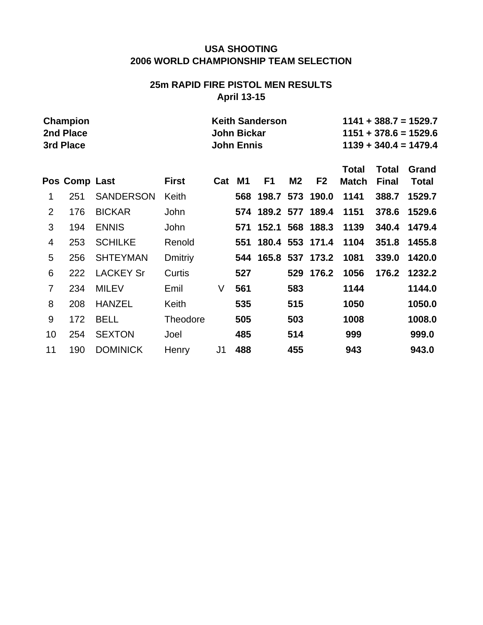# **25m RAPID FIRE PISTOL MEN RESULTS April 13-15**

|                | <b>Champion</b><br>2nd Place<br>3rd Place |                  |                 |                | <b>John Bickar</b><br><b>John Ennis</b> | <b>Keith Sanderson</b> |           |                 |                              |                       | $1141 + 388.7 = 1529.7$<br>$1151 + 378.6 = 1529.6$<br>$1139 + 340.4 = 1479.4$ |
|----------------|-------------------------------------------|------------------|-----------------|----------------|-----------------------------------------|------------------------|-----------|-----------------|------------------------------|-----------------------|-------------------------------------------------------------------------------|
|                | Pos Comp Last                             |                  | <b>First</b>    | Cat            | M1                                      | F <sub>1</sub>         | <b>M2</b> | F <sub>2</sub>  | <b>Total</b><br><b>Match</b> | Total<br><b>Final</b> | Grand<br><b>Total</b>                                                         |
| 1              | 251                                       | <b>SANDERSON</b> | Keith           |                |                                         | 568 198.7 573 190.0    |           |                 | 1141                         | 388.7                 | 1529.7                                                                        |
| $\overline{2}$ | 176                                       | <b>BICKAR</b>    | John            |                |                                         | 574 189.2 577 189.4    |           |                 | 1151                         | 378.6                 | 1529.6                                                                        |
| 3              | 194                                       | <b>ENNIS</b>     | <b>John</b>     |                | 571                                     | 152.1                  |           | 568 188.3       | 1139                         | 340.4                 | 1479.4                                                                        |
| 4              | 253                                       | <b>SCHILKE</b>   | Renold          |                | 551                                     | 180.4 553 171.4        |           |                 | 1104                         | 351.8                 | 1455.8                                                                        |
| 5              | 256                                       | <b>SHTEYMAN</b>  | <b>Dmitriy</b>  |                | 544                                     |                        |           | 165.8 537 173.2 | 1081                         | 339.0                 | 1420.0                                                                        |
| 6              | 222                                       | <b>LACKEY Sr</b> | Curtis          |                | 527                                     |                        |           | 529 176.2       | 1056                         | 176.2                 | 1232.2                                                                        |
| $\overline{7}$ | 234                                       | <b>MILEV</b>     | Emil            | V              | 561                                     |                        | 583       |                 | 1144                         |                       | 1144.0                                                                        |
| 8              | 208                                       | <b>HANZEL</b>    | Keith           |                | 535                                     |                        | 515       |                 | 1050                         |                       | 1050.0                                                                        |
| 9              | 172                                       | <b>BELL</b>      | <b>Theodore</b> |                | 505                                     |                        | 503       |                 | 1008                         |                       | 1008.0                                                                        |
| 10             | 254                                       | <b>SEXTON</b>    | Joel            |                | 485                                     |                        | 514       |                 | 999                          |                       | 999.0                                                                         |
| 11             | 190                                       | <b>DOMINICK</b>  | Henry           | J <sub>1</sub> | 488                                     |                        | 455       |                 | 943                          |                       | 943.0                                                                         |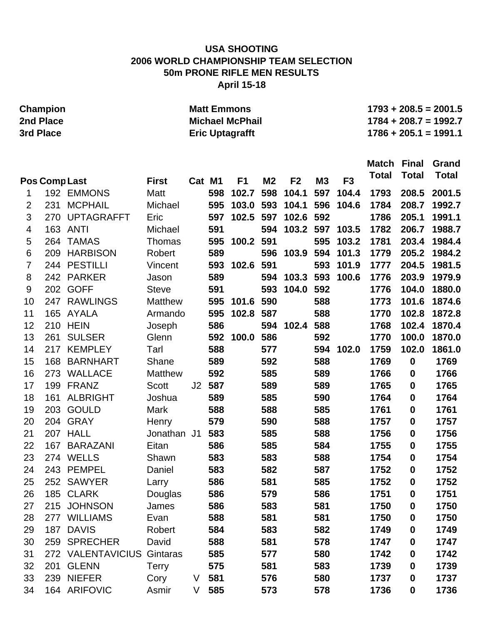# **USA SHOOTING 2006 WORLD CHAMPIONSHIP TEAM SELECTION 50m PRONE RIFLE MEN RESULTS April 15-18**

|                | <b>Champion</b>      |                   |                |        |        | <b>Matt Emmons</b>     |                |                |           |                 |                    |                  | $1793 + 208.5 = 2001.5$ |
|----------------|----------------------|-------------------|----------------|--------|--------|------------------------|----------------|----------------|-----------|-----------------|--------------------|------------------|-------------------------|
|                | 2nd Place            |                   |                |        |        | <b>Michael McPhail</b> |                |                |           |                 |                    |                  | $1784 + 208.7 = 1992.7$ |
|                | 3rd Place            |                   |                |        |        | <b>Eric Uptagrafft</b> |                |                |           |                 |                    |                  | $1786 + 205.1 = 1991.1$ |
|                |                      |                   |                |        |        |                        |                |                |           |                 |                    |                  |                         |
|                |                      |                   |                |        |        |                        |                |                |           |                 | <b>Match Final</b> |                  | Grand                   |
|                |                      |                   |                |        |        |                        |                |                |           |                 | <b>Total</b>       | <b>Total</b>     | <b>Total</b>            |
|                | <b>Pos Comp Last</b> |                   | <b>First</b>   | Cat M1 |        | F <sub>1</sub>         | M <sub>2</sub> | F <sub>2</sub> | <b>M3</b> | F <sub>3</sub>  |                    |                  |                         |
| 1              |                      | 192 EMMONS        | Matt           |        | 598    | 102.7                  | 598            | 104.1          | 597       | 104.4           | 1793               | 208.5            | 2001.5                  |
| $\overline{2}$ | 231                  | <b>MCPHAIL</b>    | Michael        |        | 595    | 103.0                  | 593            | 104.1          | 596       | 104.6           | 1784               | 208.7            | 1992.7                  |
| 3              | 270                  | <b>UPTAGRAFFT</b> | Eric           |        | 597    | 102.5                  | 597            | 102.6          | 592       |                 | 1786               | 205.1            | 1991.1                  |
| $\overline{4}$ | 163                  | <b>ANTI</b>       | Michael        |        | 591    |                        | 594            |                |           | 103.2 597 103.5 | 1782               | 206.7            | 1988.7                  |
| 5              | 264                  | <b>TAMAS</b>      | Thomas         |        | 595    | 100.2                  | 591            |                | 595       | 103.2           | 1781               | 203.4            | 1984.4                  |
| 6              | 209                  | <b>HARBISON</b>   | Robert         |        | 589    |                        | 596            | 103.9          | 594       | 101.3           | 1779               | 205.2            | 1984.2                  |
| $\overline{7}$ | 244                  | <b>PESTILLI</b>   | Vincent        |        | 593    | 102.6                  | 591            |                | 593       | 101.9           | 1777               | 204.5            | 1981.5                  |
| 8              | 242                  | <b>PARKER</b>     | Jason          |        | 589    |                        | 594            | 103.3          | 593       | 100.6           | 1776               | 203.9            | 1979.9                  |
| 9              | 202                  | <b>GOFF</b>       | <b>Steve</b>   |        | 591    |                        | 593            | 104.0          | 592       |                 | 1776               | 104.0            | 1880.0                  |
| 10             | 247                  | <b>RAWLINGS</b>   | <b>Matthew</b> |        | 595    | 101.6                  | 590            |                | 588       |                 | 1773               | 101.6            | 1874.6                  |
| 11             | 165                  | AYALA             | Armando        |        | 595    | 102.8                  | 587            |                | 588       |                 | 1770               | 102.8            | 1872.8                  |
| 12             |                      | <b>210 HEIN</b>   | Joseph         |        | 586    |                        |                | 594 102.4      | 588       |                 | 1768               | 102.4            | 1870.4                  |
| 13             | 261                  | <b>SULSER</b>     | Glenn          |        | 592    | 100.0                  | 586            |                | 592       |                 | 1770               | 100.0            | 1870.0                  |
| 14             | 217                  | <b>KEMPLEY</b>    | Tarl           |        | 588    |                        | 577            |                | 594       | 102.0           | 1759               | 102.0            | 1861.0                  |
| 15             | 168                  | <b>BARNHART</b>   | Shane          |        | 589    |                        | 592            |                | 588       |                 | 1769               | 0                | 1769                    |
| 16             | 273                  | WALLACE           | <b>Matthew</b> |        | 592    |                        | 585            |                | 589       |                 | 1766               | 0                | 1766                    |
| 17             | 199                  | <b>FRANZ</b>      | <b>Scott</b>   |        | J2 587 |                        | 589            |                | 589       |                 | 1765               | 0                | 1765                    |
| 18             | 161                  | <b>ALBRIGHT</b>   | Joshua         |        | 589    |                        | 585            |                | 590       |                 | 1764               | 0                | 1764                    |
| 19             | 203                  | <b>GOULD</b>      | <b>Mark</b>    |        | 588    |                        | 588            |                | 585       |                 | 1761               | 0                | 1761                    |
| 20             | 204                  | <b>GRAY</b>       | Henry          |        | 579    |                        | 590            |                | 588       |                 | 1757               | 0                | 1757                    |
| 21             |                      | 207 HALL          | Jonathan J1    |        | 583    |                        | 585            |                | 588       |                 | 1756               | 0                | 1756                    |
| 22             |                      | 167 BARAZANI      | Eitan          |        | 586    |                        | 585            |                | 584       |                 | 1755               | 0                | 1755                    |
| 23             |                      | 274 WELLS         | Shawn          |        | 583    |                        | 583            |                | 588       |                 | 1754               | $\bf{0}$         | 1754                    |
| 24             |                      | 243 PEMPEL        | Daniel         |        | 583    |                        | 582            |                | 587       |                 | 1752               | 0                | 1752                    |
| 25             |                      | 252 SAWYER        | Larry          |        | 586    |                        | 581            |                | 585       |                 | 1752               | $\boldsymbol{0}$ | 1752                    |
| 26             |                      | 185 CLARK         | Douglas        |        | 586    |                        | 579            |                | 586       |                 | 1751               | 0                | 1751                    |
| 27             |                      | 215 JOHNSON       | James          |        | 586    |                        | 583            |                | 581       |                 | 1750               | $\boldsymbol{0}$ | 1750                    |
| 28             |                      | 277 WILLIAMS      | Evan           |        | 588    |                        | 581            |                | 581       |                 | 1750               | $\boldsymbol{0}$ | 1750                    |
| 29             |                      | 187 DAVIS         | Robert         |        | 584    |                        | 583            |                | 582       |                 | 1749               | $\boldsymbol{0}$ | 1749                    |
| 30             |                      | 259 SPRECHER      | David          |        | 588    |                        | 581            |                | 578       |                 | 1747               | $\mathbf 0$      | 1747                    |
| 31             |                      | 272 VALENTAVICIUS | Gintaras       |        | 585    |                        | 577            |                | 580       |                 | 1742               | $\boldsymbol{0}$ | 1742                    |
| 32             | 201                  | <b>GLENN</b>      | <b>Terry</b>   |        | 575    |                        | 581            |                | 583       |                 | 1739               | $\boldsymbol{0}$ | 1739                    |
| 33             |                      | 239 NIEFER        | Cory           | V      | 581    |                        | 576            |                | 580       |                 | 1737               | 0                | 1737                    |
| 34             |                      | 164 ARIFOVIC      | Asmir          | V      | 585    |                        | 573            |                | 578       |                 | 1736               | $\mathbf 0$      | 1736                    |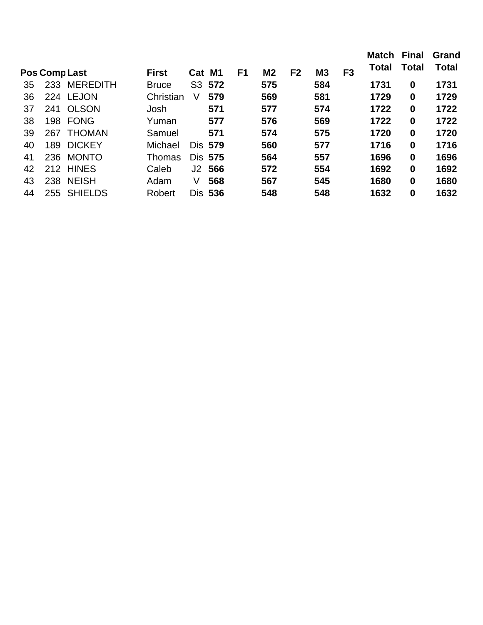|    |               |                 |              |     |                |                |                |                |                |                | Match        | <b>Final</b> | Grand        |
|----|---------------|-----------------|--------------|-----|----------------|----------------|----------------|----------------|----------------|----------------|--------------|--------------|--------------|
|    | Pos Comp Last |                 | <b>First</b> | Cat | M <sub>1</sub> | F <sub>1</sub> | M <sub>2</sub> | F <sub>2</sub> | M <sub>3</sub> | F <sub>3</sub> | <b>Total</b> | Total        | <b>Total</b> |
| 35 | 233           | <b>MEREDITH</b> | <b>Bruce</b> |     | S3 572         |                | 575            |                | 584            |                | 1731         | $\bf{0}$     | 1731         |
| 36 |               | 224 LEJON       | Christian    | V   | 579            |                | 569            |                | 581            |                | 1729         | $\bf{0}$     | 1729         |
| 37 | 241           | <b>OLSON</b>    | Josh         |     | 571            |                | 577            |                | 574            |                | 1722         | $\bf{0}$     | 1722         |
| 38 | 198           | <b>FONG</b>     | Yuman        |     | 577            |                | 576            |                | 569            |                | 1722         | $\bf{0}$     | 1722         |
| 39 | 267           | <b>THOMAN</b>   | Samuel       |     | 571            |                | 574            |                | 575            |                | 1720         | $\bf{0}$     | 1720         |
| 40 | 189           | <b>DICKEY</b>   | Michael      |     | <b>Dis 579</b> |                | 560            |                | 577            |                | 1716         | $\bf{0}$     | 1716         |
| 41 | 236           | <b>MONTO</b>    | Thomas       |     | Dis 575        |                | 564            |                | 557            |                | 1696         | $\bf{0}$     | 1696         |
| 42 |               | 212 HINES       | Caleb        |     | J2 566         |                | 572            |                | 554            |                | 1692         | $\bf{0}$     | 1692         |
| 43 | 238           | <b>NEISH</b>    | Adam         | V   | 568            |                | 567            |                | 545            |                | 1680         | $\bf{0}$     | 1680         |
| 44 | 255           | <b>SHIELDS</b>  | Robert       |     | Dis 536        |                | 548            |                | 548            |                | 1632         | $\bf{0}$     | 1632         |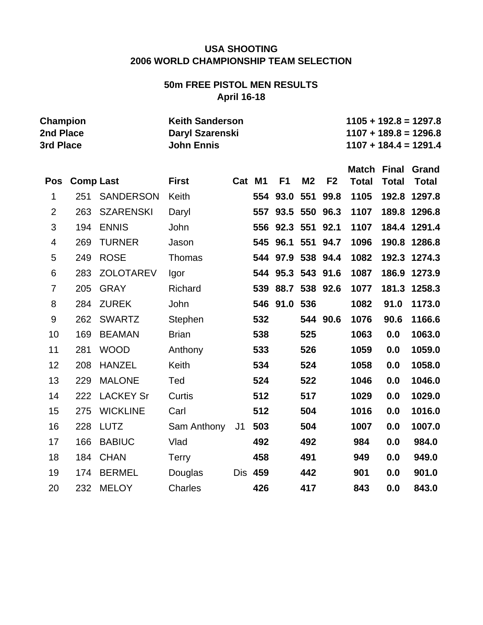# **50m FREE PISTOL MEN RESULTS April 16-18**

| <b>Champion</b><br>2nd Place<br>3rd Place |                  |                  | <b>Keith Sanderson</b><br>Daryl Szarenski<br><b>John Ennis</b> |    |         |                   |                |                |                              |                              | $1105 + 192.8 = 1297.8$<br>$1107 + 189.8 = 1296.8$<br>$1107 + 184.4 = 1291.4$ |
|-------------------------------------------|------------------|------------------|----------------------------------------------------------------|----|---------|-------------------|----------------|----------------|------------------------------|------------------------------|-------------------------------------------------------------------------------|
| <b>Pos</b>                                | <b>Comp Last</b> |                  | <b>First</b>                                                   |    | Cat M1  | F <sub>1</sub>    | M <sub>2</sub> | F <sub>2</sub> | <b>Match</b><br><b>Total</b> | <b>Final</b><br><b>Total</b> | Grand<br><b>Total</b>                                                         |
| 1                                         | 251              | <b>SANDERSON</b> | Keith                                                          |    |         | 554 93.0          | 551            | 99.8           | 1105                         | 192.8                        | 1297.8                                                                        |
| $\overline{2}$                            | 263              | <b>SZARENSKI</b> | Daryl                                                          |    |         | 557 93.5          |                | 550 96.3       | 1107                         |                              | 189.8 1296.8                                                                  |
| 3                                         | 194              | <b>ENNIS</b>     | John                                                           |    |         | 556 92.3          |                | 551 92.1       | 1107                         |                              | 184.4 1291.4                                                                  |
| 4                                         | 269              | <b>TURNER</b>    | Jason                                                          |    |         | 545 96.1          |                | 551 94.7       | 1096                         |                              | 190.8 1286.8                                                                  |
| 5                                         | 249              | <b>ROSE</b>      | Thomas                                                         |    |         | 544 97.9 538 94.4 |                |                | 1082                         |                              | 192.3 1274.3                                                                  |
| 6                                         | 283              | <b>ZOLOTAREV</b> | Igor                                                           |    |         | 544 95.3 543 91.6 |                |                | 1087                         |                              | 186.9 1273.9                                                                  |
| $\overline{7}$                            | 205              | <b>GRAY</b>      | Richard                                                        |    | 539     | 88.7 538 92.6     |                |                | 1077                         | 181.3                        | 1258.3                                                                        |
| 8                                         | 284              | <b>ZUREK</b>     | John                                                           |    |         | 546 91.0 536      |                |                | 1082                         | 91.0                         | 1173.0                                                                        |
| 9                                         | 262              | <b>SWARTZ</b>    | Stephen                                                        |    | 532     |                   |                | 544 90.6       | 1076                         | 90.6                         | 1166.6                                                                        |
| 10                                        | 169              | <b>BEAMAN</b>    | <b>Brian</b>                                                   |    | 538     |                   | 525            |                | 1063                         | 0.0                          | 1063.0                                                                        |
| 11                                        | 281              | <b>WOOD</b>      | Anthony                                                        |    | 533     |                   | 526            |                | 1059                         | 0.0                          | 1059.0                                                                        |
| 12                                        | 208              | <b>HANZEL</b>    | Keith                                                          |    | 534     |                   | 524            |                | 1058                         | 0.0                          | 1058.0                                                                        |
| 13                                        | 229              | <b>MALONE</b>    | Ted                                                            |    | 524     |                   | 522            |                | 1046                         | 0.0                          | 1046.0                                                                        |
| 14                                        | 222              | <b>LACKEY Sr</b> | Curtis                                                         |    | 512     |                   | 517            |                | 1029                         | 0.0                          | 1029.0                                                                        |
| 15                                        | 275              | <b>WICKLINE</b>  | Carl                                                           |    | 512     |                   | 504            |                | 1016                         | 0.0                          | 1016.0                                                                        |
| 16                                        | 228              | <b>LUTZ</b>      | Sam Anthony                                                    | J1 | 503     |                   | 504            |                | 1007                         | 0.0                          | 1007.0                                                                        |
| 17                                        | 166              | <b>BABIUC</b>    | Vlad                                                           |    | 492     |                   | 492            |                | 984                          | 0.0                          | 984.0                                                                         |
| 18                                        | 184              | <b>CHAN</b>      | <b>Terry</b>                                                   |    | 458     |                   | 491            |                | 949                          | 0.0                          | 949.0                                                                         |
| 19                                        | 174              | <b>BERMEL</b>    | Douglas                                                        |    | Dis 459 |                   | 442            |                | 901                          | 0.0                          | 901.0                                                                         |
| 20                                        | 232              | <b>MELOY</b>     | <b>Charles</b>                                                 |    | 426     |                   | 417            |                | 843                          | 0.0                          | 843.0                                                                         |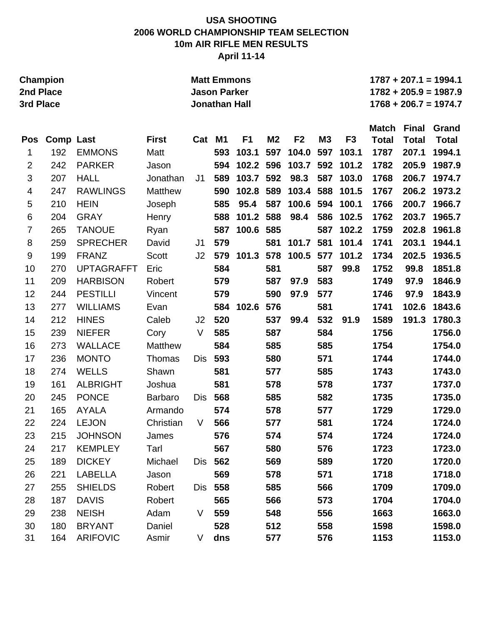## **USA SHOOTING 2006 WORLD CHAMPIONSHIP TEAM SELECTION 10m AIR RIFLE MEN RESULTS April 11-14**

|                          | Champion<br>2nd Place<br>3rd Place |                   |                |            | <b>Matt Emmons</b><br><b>Jason Parker</b><br><b>Jonathan Hall</b> |                |                |                |           |                |                              |                              | $1787 + 207.1 = 1994.1$<br>$1782 + 205.9 = 1987.9$<br>$1768 + 206.7 = 1974.7$ |
|--------------------------|------------------------------------|-------------------|----------------|------------|-------------------------------------------------------------------|----------------|----------------|----------------|-----------|----------------|------------------------------|------------------------------|-------------------------------------------------------------------------------|
|                          |                                    |                   |                |            |                                                                   |                |                |                |           |                |                              |                              |                                                                               |
| Pos                      | <b>Comp Last</b>                   |                   | <b>First</b>   | Cat M1     |                                                                   | F <sub>1</sub> | M <sub>2</sub> | F <sub>2</sub> | <b>M3</b> | F <sub>3</sub> | <b>Match</b><br><b>Total</b> | <b>Final</b><br><b>Total</b> | Grand<br><b>Total</b>                                                         |
| 1                        | 192                                | <b>EMMONS</b>     | Matt           |            | 593                                                               | 103.1          | 597            | 104.0          | 597       | 103.1          | 1787                         | 207.1                        | 1994.1                                                                        |
| $\overline{2}$           | 242                                | <b>PARKER</b>     | Jason          |            | 594                                                               | 102.2 596      |                | 103.7          | 592       | 101.2          | 1782                         | 205.9                        | 1987.9                                                                        |
| 3                        | 207                                | <b>HALL</b>       | Jonathan       | J1         | 589                                                               | 103.7          | 592            | 98.3           | 587       | 103.0          | 1768                         | 206.7                        | 1974.7                                                                        |
| $\overline{\mathcal{A}}$ | 247                                | <b>RAWLINGS</b>   | Matthew        |            | 590                                                               | 102.8          | 589            | 103.4          | 588       | 101.5          | 1767                         | 206.2                        | 1973.2                                                                        |
| $\mathbf 5$              | 210                                | <b>HEIN</b>       | Joseph         |            | 585                                                               | 95.4           | 587            | 100.6          | 594       | 100.1          | 1766                         | 200.7                        | 1966.7                                                                        |
| $\,6$                    | 204                                | <b>GRAY</b>       | Henry          |            | 588                                                               | 101.2          | 588            | 98.4           | 586       | 102.5          | 1762                         | 203.7                        | 1965.7                                                                        |
| $\overline{7}$           | 265                                | <b>TANOUE</b>     | Ryan           |            | 587                                                               | 100.6          | 585            |                | 587       | 102.2          | 1759                         | 202.8                        | 1961.8                                                                        |
| 8                        | 259                                | <b>SPRECHER</b>   | David          | J1         | 579                                                               |                | 581            | 101.7          | 581       | 101.4          | 1741                         | 203.1                        | 1944.1                                                                        |
| $\boldsymbol{9}$         | 199                                | <b>FRANZ</b>      | <b>Scott</b>   | J2         | 579                                                               | 101.3          | 578            | 100.5          | 577       | 101.2          | 1734                         | 202.5                        | 1936.5                                                                        |
| 10                       | 270                                | <b>UPTAGRAFFT</b> | Eric           |            | 584                                                               |                | 581            |                | 587       | 99.8           | 1752                         | 99.8                         | 1851.8                                                                        |
| 11                       | 209                                | <b>HARBISON</b>   | Robert         |            | 579                                                               |                | 587            | 97.9           | 583       |                | 1749                         | 97.9                         | 1846.9                                                                        |
| 12                       | 244                                | <b>PESTILLI</b>   | Vincent        |            | 579                                                               |                | 590            | 97.9           | 577       |                | 1746                         | 97.9                         | 1843.9                                                                        |
| 13                       | 277                                | <b>WILLIAMS</b>   | Evan           |            | 584                                                               | 102.6          | 576            |                | 581       |                | 1741                         | 102.6                        | 1843.6                                                                        |
| 14                       | 212                                | <b>HINES</b>      | Caleb          | J2         | 520                                                               |                | 537            | 99.4           | 532       | 91.9           | 1589                         | 191.3                        | 1780.3                                                                        |
| 15                       | 239                                | <b>NIEFER</b>     | Cory           | V          | 585                                                               |                | 587            |                | 584       |                | 1756                         |                              | 1756.0                                                                        |
| 16                       | 273                                | <b>WALLACE</b>    | Matthew        |            | 584                                                               |                | 585            |                | 585       |                | 1754                         |                              | 1754.0                                                                        |
| 17                       | 236                                | <b>MONTO</b>      | Thomas         | <b>Dis</b> | 593                                                               |                | 580            |                | 571       |                | 1744                         |                              | 1744.0                                                                        |
| 18                       | 274                                | <b>WELLS</b>      | Shawn          |            | 581                                                               |                | 577            |                | 585       |                | 1743                         |                              | 1743.0                                                                        |
| 19                       | 161                                | <b>ALBRIGHT</b>   | Joshua         |            | 581                                                               |                | 578            |                | 578       |                | 1737                         |                              | 1737.0                                                                        |
| 20                       | 245                                | <b>PONCE</b>      | <b>Barbaro</b> | Dis        | 568                                                               |                | 585            |                | 582       |                | 1735                         |                              | 1735.0                                                                        |
| 21                       | 165                                | <b>AYALA</b>      | Armando        |            | 574                                                               |                | 578            |                | 577       |                | 1729                         |                              | 1729.0                                                                        |
| 22                       | 224                                | <b>LEJON</b>      | Christian      | V          | 566                                                               |                | 577            |                | 581       |                | 1724                         |                              | 1724.0                                                                        |
| 23                       | 215                                | <b>JOHNSON</b>    | James          |            | 576                                                               |                | 574            |                | 574       |                | 1724                         |                              | 1724.0                                                                        |
| 24                       | 217                                | <b>KEMPLEY</b>    | Tarl           |            | 567                                                               |                | 580            |                | 576       |                | 1723                         |                              | 1723.0                                                                        |
| 25                       | 189                                | <b>DICKEY</b>     | Michael        | Dis        | 562                                                               |                | 569            |                | 589       |                | 1720                         |                              | 1720.0                                                                        |
| 26                       | 221                                | LABELLA           | Jason          |            | 569                                                               |                | 578            |                | 571       |                | 1718                         |                              | 1718.0                                                                        |
| 27                       | 255                                | <b>SHIELDS</b>    | Robert         |            | Dis 558                                                           |                | 585            |                | 566       |                | 1709                         |                              | 1709.0                                                                        |
| 28                       | 187                                | <b>DAVIS</b>      | Robert         |            | 565                                                               |                | 566            |                | 573       |                | 1704                         |                              | 1704.0                                                                        |
| 29                       | 238                                | <b>NEISH</b>      | Adam           | V          | 559                                                               |                | 548            |                | 556       |                | 1663                         |                              | 1663.0                                                                        |
| 30                       | 180                                | <b>BRYANT</b>     | Daniel         |            | 528                                                               |                | 512            |                | 558       |                | 1598                         |                              | 1598.0                                                                        |
| 31                       | 164                                | <b>ARIFOVIC</b>   | Asmir          | V          | dns                                                               |                | 577            |                | 576       |                | 1153                         |                              | 1153.0                                                                        |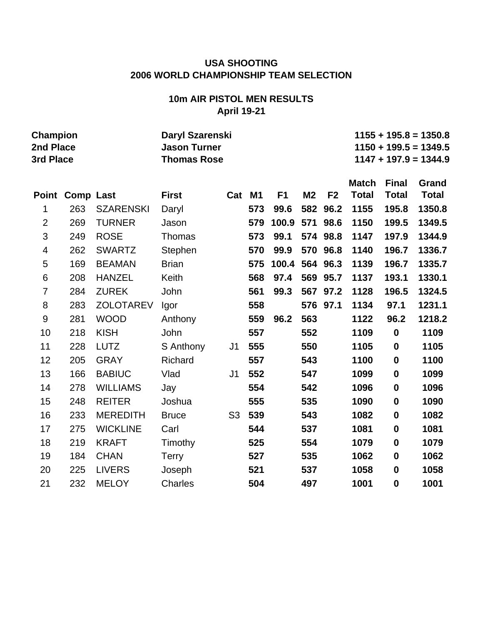## **10m AIR PISTOL MEN RESULTS April 19-21**

| Champion       |                 |                  | Daryl Szarenski     |                |        |                |                |                |              |              | $1155 + 195.8 = 1350.8$ |
|----------------|-----------------|------------------|---------------------|----------------|--------|----------------|----------------|----------------|--------------|--------------|-------------------------|
| 2nd Place      |                 |                  | <b>Jason Turner</b> |                |        |                |                |                |              |              | $1150 + 199.5 = 1349.5$ |
| 3rd Place      |                 |                  | <b>Thomas Rose</b>  |                |        |                |                |                |              |              | $1147 + 197.9 = 1344.9$ |
|                |                 |                  |                     |                |        |                |                |                | <b>Match</b> | <b>Final</b> | Grand                   |
|                | Point Comp Last |                  | <b>First</b>        |                | Cat M1 | F <sub>1</sub> | M <sub>2</sub> | F <sub>2</sub> | <b>Total</b> | <b>Total</b> | <b>Total</b>            |
| 1              | 263             | <b>SZARENSKI</b> | Daryl               |                | 573    | 99.6           |                | 582 96.2       | 1155         | 195.8        | 1350.8                  |
| $\overline{2}$ | 269             | <b>TURNER</b>    | Jason               |                | 579    | 100.9          | 571            | 98.6           | 1150         | 199.5        | 1349.5                  |
| 3              | 249             | <b>ROSE</b>      | <b>Thomas</b>       |                | 573    | 99.1           |                | 574 98.8       | 1147         | 197.9        | 1344.9                  |
| 4              | 262             | <b>SWARTZ</b>    | Stephen             |                | 570    | 99.9           |                | 570 96.8       | 1140         | 196.7        | 1336.7                  |
| 5              | 169             | <b>BEAMAN</b>    | <b>Brian</b>        |                | 575    | 100.4          |                | 564 96.3       | 1139         | 196.7        | 1335.7                  |
| $\,6$          | 208             | <b>HANZEL</b>    | Keith               |                | 568    | 97.4           |                | 569 95.7       | 1137         | 193.1        | 1330.1                  |
| $\overline{7}$ | 284             | <b>ZUREK</b>     | John                |                | 561    | 99.3           | 567            | 97.2           | 1128         | 196.5        | 1324.5                  |
| 8              | 283             | <b>ZOLOTAREV</b> | Igor                |                | 558    |                |                | 576 97.1       | 1134         | 97.1         | 1231.1                  |
| $9$            | 281             | <b>WOOD</b>      | Anthony             |                | 559    | 96.2           | 563            |                | 1122         | 96.2         | 1218.2                  |
| 10             | 218             | <b>KISH</b>      | John                |                | 557    |                | 552            |                | 1109         | $\mathbf 0$  | 1109                    |
| 11             | 228             | <b>LUTZ</b>      | S Anthony           | J <sub>1</sub> | 555    |                | 550            |                | 1105         | $\bf{0}$     | 1105                    |
| 12             | 205             | <b>GRAY</b>      | Richard             |                | 557    |                | 543            |                | 1100         | $\bf{0}$     | 1100                    |
| 13             | 166             | <b>BABIUC</b>    | Vlad                | J <sub>1</sub> | 552    |                | 547            |                | 1099         | $\mathbf 0$  | 1099                    |
| 14             | 278             | <b>WILLIAMS</b>  | Jay                 |                | 554    |                | 542            |                | 1096         | $\bf{0}$     | 1096                    |
| 15             | 248             | <b>REITER</b>    | Joshua              |                | 555    |                | 535            |                | 1090         | $\mathbf 0$  | 1090                    |
| 16             | 233             | <b>MEREDITH</b>  | <b>Bruce</b>        | S <sub>3</sub> | 539    |                | 543            |                | 1082         | $\bf{0}$     | 1082                    |
| 17             | 275             | <b>WICKLINE</b>  | Carl                |                | 544    |                | 537            |                | 1081         | 0            | 1081                    |
| 18             | 219             | <b>KRAFT</b>     | Timothy             |                | 525    |                | 554            |                | 1079         | $\bf{0}$     | 1079                    |
| 19             | 184             | <b>CHAN</b>      | <b>Terry</b>        |                | 527    |                | 535            |                | 1062         | 0            | 1062                    |
| 20             | 225             | <b>LIVERS</b>    | Joseph              |                | 521    |                | 537            |                | 1058         | $\bf{0}$     | 1058                    |

21 232 MELOY Charles **504 497 1001 0 1001**